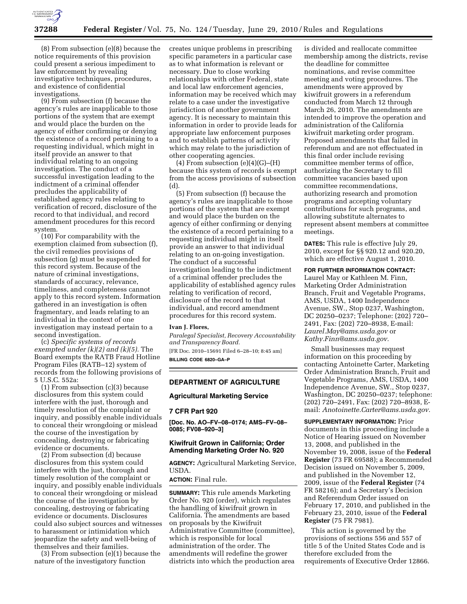

(8) From subsection (e)(8) because the notice requirements of this provision could present a serious impediment to law enforcement by revealing investigative techniques, procedures, and existence of confidential investigations.

(9) From subsection (f) because the agency's rules are inapplicable to those portions of the system that are exempt and would place the burden on the agency of either confirming or denying the existence of a record pertaining to a requesting individual, which might in itself provide an answer to that individual relating to an ongoing investigation. The conduct of a successful investigation leading to the indictment of a criminal offender precludes the applicability of established agency rules relating to verification of record, disclosure of the record to that individual, and record amendment procedures for this record system.

(10) For comparability with the exemption claimed from subsection (f), the civil remedies provisions of subsection (g) must be suspended for this record system. Because of the nature of criminal investigations, standards of accuracy, relevance, timeliness, and completeness cannot apply to this record system. Information gathered in an investigation is often fragmentary, and leads relating to an individual in the context of one investigation may instead pertain to a second investigation.

(c) *Specific systems of records exempted under (k)(2) and (k)(5).* The Board exempts the RATB Fraud Hotline Program Files (RATB–12) system of records from the following provisions of 5 U.S.C. 552a:

(1) From subsection (c)(3) because disclosures from this system could interfere with the just, thorough and timely resolution of the complaint or inquiry, and possibly enable individuals to conceal their wrongdoing or mislead the course of the investigation by concealing, destroying or fabricating evidence or documents.

(2) From subsection (d) because disclosures from this system could interfere with the just, thorough and timely resolution of the complaint or inquiry, and possibly enable individuals to conceal their wrongdoing or mislead the course of the investigation by concealing, destroying or fabricating evidence or documents. Disclosures could also subject sources and witnesses to harassment or intimidation which jeopardize the safety and well-being of themselves and their families.

(3) From subsection (e)(1) because the nature of the investigatory function

creates unique problems in prescribing specific parameters in a particular case as to what information is relevant or necessary. Due to close working relationships with other Federal, state and local law enforcement agencies, information may be received which may relate to a case under the investigative jurisdiction of another government agency. It is necessary to maintain this information in order to provide leads for appropriate law enforcement purposes and to establish patterns of activity which may relate to the jurisdiction of other cooperating agencies.

 $(4)$  From subsection  $(e)(4)(G)$ – $(H)$ because this system of records is exempt from the access provisions of subsection (d).

(5) From subsection (f) because the agency's rules are inapplicable to those portions of the system that are exempt and would place the burden on the agency of either confirming or denying the existence of a record pertaining to a requesting individual might in itself provide an answer to that individual relating to an on-going investigation. The conduct of a successful investigation leading to the indictment of a criminal offender precludes the applicability of established agency rules relating to verification of record, disclosure of the record to that individual, and record amendment procedures for this record system.

#### **Ivan J. Flores,**

*Paralegal Specialist, Recovery Accountability and Transparency Board.*  [FR Doc. 2010–15691 Filed 6–28–10; 8:45 am]

**BILLING CODE 6820–GA–P** 

### **DEPARTMENT OF AGRICULTURE**

#### **Agricultural Marketing Service**

#### **7 CFR Part 920**

**[Doc. No. AO–FV–08–0174; AMS–FV–08– 0085; FV08–920–3]** 

### **Kiwifruit Grown in California; Order Amending Marketing Order No. 920**

**AGENCY:** Agricultural Marketing Service, USDA.

**ACTION:** Final rule.

**SUMMARY:** This rule amends Marketing Order No. 920 (order), which regulates the handling of kiwifruit grown in California. The amendments are based on proposals by the Kiwifruit Administrative Committee (committee), which is responsible for local administration of the order. The amendments will redefine the grower districts into which the production area

is divided and reallocate committee membership among the districts, revise the deadline for committee nominations, and revise committee meeting and voting procedures. The amendments were approved by kiwifruit growers in a referendum conducted from March 12 through March 26, 2010. The amendments are intended to improve the operation and administration of the California kiwifruit marketing order program. Proposed amendments that failed in referendum and are not effectuated in this final order include revising committee member terms of office, authorizing the Secretary to fill committee vacancies based upon committee recommendations, authorizing research and promotion programs and accepting voluntary contributions for such programs, and allowing substitute alternates to represent absent members at committee meetings.

**DATES:** This rule is effective July 29, 2010, except for §§ 920.12 and 920.20, which are effective August 1, 2010.

# **FOR FURTHER INFORMATION CONTACT:**

Laurel May or Kathleen M. Finn, Marketing Order Administration Branch, Fruit and Vegetable Programs, AMS, USDA, 1400 Independence Avenue, SW., Stop 0237, Washington, DC 20250–0237; Telephone: (202) 720– 2491, Fax: (202) 720–8938, E-mail: *Laurel.May@ams.usda.gov* or *Kathy.Finn@ams.usda.gov.* 

Small businesses may request information on this proceeding by contacting Antoinette Carter, Marketing Order Administration Branch, Fruit and Vegetable Programs, AMS, USDA, 1400 Independence Avenue, SW., Stop 0237, Washington, DC 20250–0237; telephone: (202) 720–2491, Fax: (202) 720–8938, Email: *Anotoinette.Carter@ams.usda.gov.* 

**SUPPLEMENTARY INFORMATION:** Prior documents in this proceeding include a Notice of Hearing issued on November 13, 2008, and published in the November 19, 2008, issue of the **Federal Register** (73 FR 69588); a Recommended Decision issued on November 5, 2009, and published in the November 12, 2009, issue of the **Federal Register** (74 FR 58216); and a Secretary's Decision and Referendum Order issued on February 17, 2010, and published in the February 23, 2010, issue of the **Federal Register** (75 FR 7981).

This action is governed by the provisions of sections 556 and 557 of title 5 of the United States Code and is therefore excluded from the requirements of Executive Order 12866.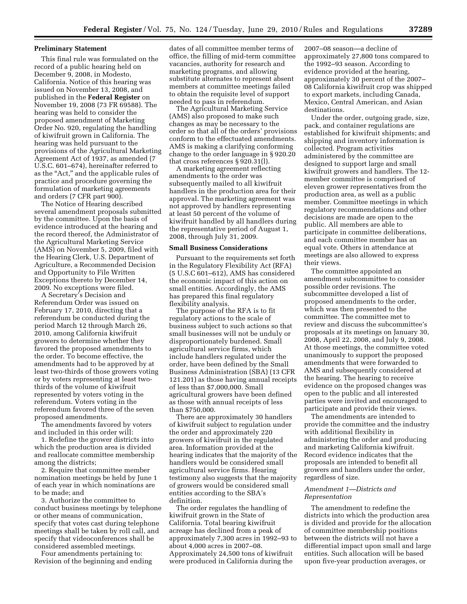### **Preliminary Statement**

This final rule was formulated on the record of a public hearing held on December 9, 2008, in Modesto, California. Notice of this hearing was issued on November 13, 2008, and published in the **Federal Register** on November 19, 2008 (73 FR 69588). The hearing was held to consider the proposed amendment of Marketing Order No. 920, regulating the handling of kiwifruit grown in California. The hearing was held pursuant to the provisions of the Agricultural Marketing Agreement Act of 1937, as amended (7 U.S.C. 601–674), hereinafter referred to as the ''Act,'' and the applicable rules of practice and procedure governing the formulation of marketing agreements and orders (7 CFR part 900).

The Notice of Hearing described several amendment proposals submitted by the committee. Upon the basis of evidence introduced at the hearing and the record thereof, the Administrator of the Agricultural Marketing Service (AMS) on November 5, 2009, filed with the Hearing Clerk, U.S. Department of Agriculture, a Recommended Decision and Opportunity to File Written Exceptions thereto by December 14, 2009. No exceptions were filed.

A Secretary's Decision and Referendum Order was issued on February 17, 2010, directing that a referendum be conducted during the period March 12 through March 26, 2010, among California kiwifruit growers to determine whether they favored the proposed amendments to the order. To become effective, the amendments had to be approved by at least two-thirds of those growers voting or by voters representing at least twothirds of the volume of kiwifruit represented by voters voting in the referendum. Voters voting in the referendum favored three of the seven proposed amendments.

The amendments favored by voters and included in this order will:

1. Redefine the grower districts into which the production area is divided and reallocate committee membership among the districts;

2. Require that committee member nomination meetings be held by June 1 of each year in which nominations are to be made; and

3. Authorize the committee to conduct business meetings by telephone or other means of communication, specify that votes cast during telephone meetings shall be taken by roll call, and specify that videoconferences shall be considered assembled meetings.

Four amendments pertaining to: Revision of the beginning and ending dates of all committee member terms of office, the filling of mid-term committee vacancies, authority for research and marketing programs, and allowing substitute alternates to represent absent members at committee meetings failed to obtain the requisite level of support needed to pass in referendum.

The Agricultural Marketing Service (AMS) also proposed to make such changes as may be necessary to the order so that all of the orders' provisions conform to the effectuated amendments. AMS is making a clarifying conforming change to the order language in § 920.20 that cross references § 920.31(l).

A marketing agreement reflecting amendments to the order was subsequently mailed to all kiwifruit handlers in the production area for their approval. The marketing agreement was not approved by handlers representing at least 50 percent of the volume of kiwifruit handled by all handlers during the representative period of August 1, 2008, through July 31, 2009.

### **Small Business Considerations**

Pursuant to the requirements set forth in the Regulatory Flexibility Act (RFA) (5 U.S.C 601–612), AMS has considered the economic impact of this action on small entities. Accordingly, the AMS has prepared this final regulatory flexibility analysis.

The purpose of the RFA is to fit regulatory actions to the scale of business subject to such actions so that small businesses will not be unduly or disproportionately burdened. Small agricultural service firms, which include handlers regulated under the order, have been defined by the Small Business Administration (SBA) (13 CFR 121.201) as those having annual receipts of less than \$7,000,000. Small agricultural growers have been defined as those with annual receipts of less than \$750,000.

There are approximately 30 handlers of kiwifruit subject to regulation under the order and approximately 220 growers of kiwifruit in the regulated area. Information provided at the hearing indicates that the majority of the handlers would be considered small agricultural service firms. Hearing testimony also suggests that the majority of growers would be considered small entities according to the SBA's definition.

The order regulates the handling of kiwifruit grown in the State of California. Total bearing kiwifruit acreage has declined from a peak of approximately 7,300 acres in 1992–93 to about 4,000 acres in 2007–08. Approximately 24,500 tons of kiwifruit were produced in California during the

2007–08 season—a decline of approximately 27,800 tons compared to the 1992–93 season. According to evidence provided at the hearing, approximately 30 percent of the 2007– 08 California kiwifruit crop was shipped to export markets, including Canada, Mexico, Central American, and Asian destinations.

Under the order, outgoing grade, size, pack, and container regulations are established for kiwifruit shipments; and shipping and inventory information is collected. Program activities administered by the committee are designed to support large and small kiwifruit growers and handlers. The 12 member committee is comprised of eleven grower representatives from the production area, as well as a public member. Committee meetings in which regulatory recommendations and other decisions are made are open to the public. All members are able to participate in committee deliberations, and each committee member has an equal vote. Others in attendance at meetings are also allowed to express their views.

The committee appointed an amendment subcommittee to consider possible order revisions. The subcommittee developed a list of proposed amendments to the order, which was then presented to the committee. The committee met to review and discuss the subcommittee's proposals at its meetings on January 30, 2008, April 22, 2008, and July 9, 2008. At those meetings, the committee voted unanimously to support the proposed amendments that were forwarded to AMS and subsequently considered at the hearing. The hearing to receive evidence on the proposed changes was open to the public and all interested parties were invited and encouraged to participate and provide their views.

The amendments are intended to provide the committee and the industry with additional flexibility in administering the order and producing and marketing California kiwifruit. Record evidence indicates that the proposals are intended to benefit all growers and handlers under the order, regardless of size.

## *Amendment 1—Districts and Representation*

The amendment to redefine the districts into which the production area is divided and provide for the allocation of committee membership positions between the districts will not have a differential impact upon small and large entities. Such allocation will be based upon five-year production averages, or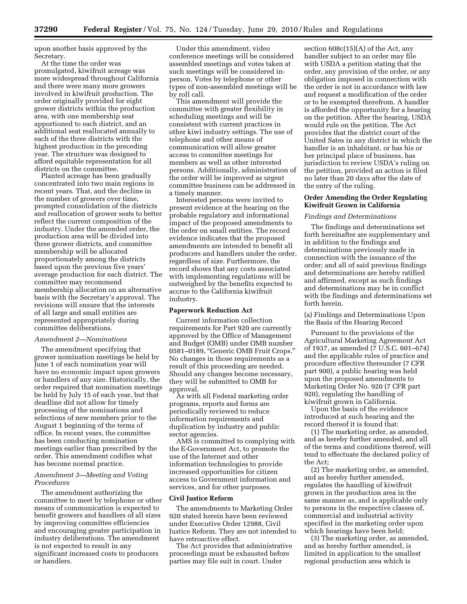upon another basis approved by the Secretary.

At the time the order was promulgated, kiwifruit acreage was more widespread throughout California and there were many more growers involved in kiwifruit production. The order originally provided for eight grower districts within the production area, with one membership seat apportioned to each district, and an additional seat reallocated annually to each of the three districts with the highest production in the preceding year. The structure was designed to afford equitable representation for all districts on the committee.

Planted acreage has been gradually concentrated into two main regions in recent years. That, and the decline in the number of growers over time, prompted consolidation of the districts and reallocation of grower seats to better reflect the current composition of the industry. Under the amended order, the production area will be divided into three grower districts, and committee membership will be allocated proportionately among the districts based upon the previous five years' average production for each district. The committee may recommend membership allocation on an alternative basis with the Secretary's approval. The revisions will ensure that the interests of all large and small entities are represented appropriately during committee deliberations.

# *Amendment 2—Nominations*

The amendment specifying that grower nomination meetings be held by June 1 of each nomination year will have no economic impact upon growers or handlers of any size. Historically, the order required that nomination meetings be held by July 15 of each year, but that deadline did not allow for timely processing of the nominations and selections of new members prior to the August 1 beginning of the terms of office. In recent years, the committee has been conducting nomination meetings earlier than prescribed by the order. This amendment codifies what has become normal practice.

### *Amendment 3—Meeting and Voting Procedures*

The amendment authorizing the committee to meet by telephone or other means of communication is expected to benefit growers and handlers of all sizes by improving committee efficiencies and encouraging greater participation in industry deliberations. The amendment is not expected to result in any significant increased costs to producers or handlers.

Under this amendment, video conference meetings will be considered assembled meetings and votes taken at such meetings will be considered inperson. Votes by telephone or other types of non-assembled meetings will be by roll call.

This amendment will provide the committee with greater flexibility in scheduling meetings and will be consistent with current practices in other kiwi industry settings. The use of telephone and other means of communication will allow greater access to committee meetings for members as well as other interested persons. Additionally, administration of the order will be improved as urgent committee business can be addressed in a timely manner.

Interested persons were invited to present evidence at the hearing on the probable regulatory and informational impact of the proposed amendments to the order on small entities. The record evidence indicates that the proposed amendments are intended to benefit all producers and handlers under the order, regardless of size. Furthermore, the record shows that any costs associated with implementing regulations will be outweighed by the benefits expected to accrue to the California kiwifruit industry.

## **Paperwork Reduction Act**

Current information collection requirements for Part 920 are currently approved by the Office of Management and Budget (OMB) under OMB number 0581–0189, ''Generic OMB Fruit Crops.'' No changes in those requirements as a result of this proceeding are needed. Should any changes become necessary, they will be submitted to OMB for approval.

As with all Federal marketing order programs, reports and forms are periodically reviewed to reduce information requirements and duplication by industry and public sector agencies.

AMS is committed to complying with the E-Government Act, to promote the use of the Internet and other information technologies to provide increased opportunities for citizen access to Government information and services, and for other purposes.

### **Civil Justice Reform**

The amendments to Marketing Order 920 stated herein have been reviewed under Executive Order 12988, Civil Justice Reform. They are not intended to have retroactive effect.

The Act provides that administrative proceedings must be exhausted before parties may file suit in court. Under

section 608c(15)(A) of the Act, any handler subject to an order may file with USDA a petition stating that the order, any provision of the order, or any obligation imposed in connection with the order is not in accordance with law and request a modification of the order or to be exempted therefrom. A handler is afforded the opportunity for a hearing on the petition. After the hearing, USDA would rule on the petition. The Act provides that the district court of the United Sates in any district in which the handler is an inhabitant, or has his or her principal place of business, has jurisdiction to review USDA's ruling on the petition, provided an action is filed no later than 20 days after the date of the entry of the ruling.

# **Order Amending the Order Regulating Kiwifruit Grown in California**

### *Findings and Determinations*

The findings and determinations set forth hereinafter are supplementary and in addition to the findings and determinations previously made in connection with the issuance of the order; and all of said previous findings and determinations are hereby ratified and affirmed, except as such findings and determinations may be in conflict with the findings and determinations set forth herein.

(a) Findings and Determinations Upon the Basis of the Hearing Record

Pursuant to the provisions of the Agricultural Marketing Agreement Act of 1937, as amended (7 U.S.C. 601–674) and the applicable rules of practice and procedure effective thereunder (7 CFR part 900), a public hearing was held upon the proposed amendments to Marketing Order No. 920 (7 CFR part 920), regulating the handling of kiwifruit grown in California.

Upon the basis of the evidence introduced at such hearing and the record thereof it is found that:

(1) The marketing order, as amended, and as hereby further amended, and all of the terms and conditions thereof, will tend to effectuate the declared policy of the Act;

(2) The marketing order, as amended, and as hereby further amended, regulates the handling of kiwifruit grown in the production area in the same manner as, and is applicable only to persons in the respective classes of, commercial and industrial activity specified in the marketing order upon which hearings have been held;

(3) The marketing order, as amended, and as hereby further amended, is limited in application to the smallest regional production area which is